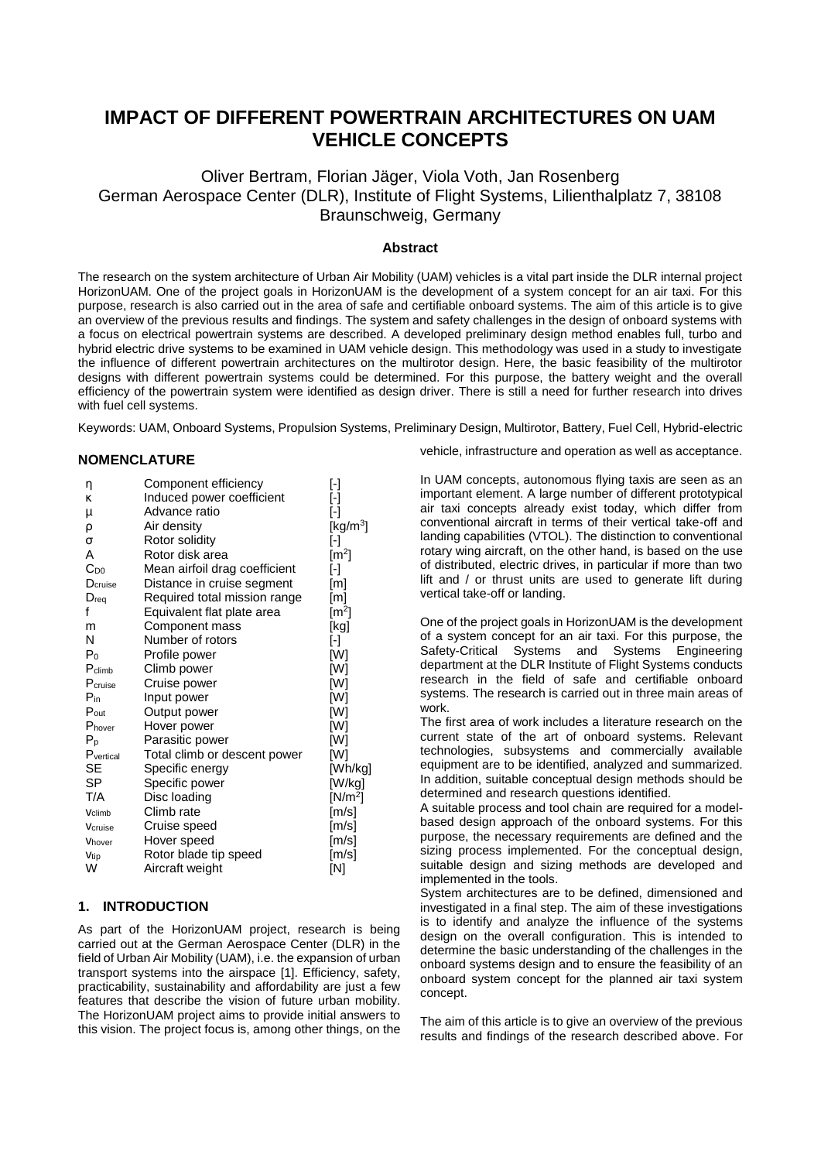# **IMPACT OF DIFFERENT POWERTRAIN ARCHITECTURES ON UAM VEHICLE CONCEPTS**

Oliver Bertram, Florian Jäger, Viola Voth, Jan Rosenberg German Aerospace Center (DLR), Institute of Flight Systems, Lilienthalplatz 7, 38108 Braunschweig, Germany

## **Abstract**

The research on the system architecture of Urban Air Mobility (UAM) vehicles is a vital part inside the DLR internal project HorizonUAM. One of the project goals in HorizonUAM is the development of a system concept for an air taxi. For this purpose, research is also carried out in the area of safe and certifiable onboard systems. The aim of this article is to give an overview of the previous results and findings. The system and safety challenges in the design of onboard systems with a focus on electrical powertrain systems are described. A developed preliminary design method enables full, turbo and hybrid electric drive systems to be examined in UAM vehicle design. This methodology was used in a study to investigate the influence of different powertrain architectures on the multirotor design. Here, the basic feasibility of the multirotor designs with different powertrain systems could be determined. For this purpose, the battery weight and the overall efficiency of the powertrain system were identified as design driver. There is still a need for further research into drives with fuel cell systems.

Keywords: UAM, Onboard Systems, Propulsion Systems, Preliminary Design, Multirotor, Battery, Fuel Cell, Hybrid-electric

## **NOMENCLATURE**

| η                | Component efficiency          | [-]                    |
|------------------|-------------------------------|------------------------|
| K                | Induced power coefficient     | $[\cdot]$              |
| μ                | Advance ratio                 | ŀ1                     |
| ρ                | Air density                   | [kg/m <sup>3</sup> ]   |
| σ                | Rotor solidity                | ŀ1                     |
| Α                | Rotor disk area               | $\lceil m^2 \rceil$    |
| $C_{D0}$         | Mean airfoil drag coefficient | ŀ1                     |
| Dcruise          | Distance in cruise segment    | [m]                    |
| $D_{req}$        | Required total mission range  | [m]                    |
| f                | Equivalent flat plate area    | $\lbrack m^{2}]$       |
| m                | Component mass                | [kg]                   |
| N                | Number of rotors              | $\left[ \cdot \right]$ |
| P <sub>0</sub>   | Profile power                 | [W]                    |
| $P_{climb}$      | Climb power                   | [W]                    |
| Pcruise          | Cruise power                  | [W]                    |
| $P_{in}$         | Input power                   | [W]                    |
| $P_{\text{out}}$ | Output power                  | [W]                    |
| Phover           | Hover power                   | [W]                    |
| $P_{p}$          | Parasitic power               | [W]                    |
| Pvertical        | Total climb or descent power  | [W]                    |
| SE               | Specific energy               | [Wh/kg]                |
| SP               | Specific power                | [W/kg]                 |
| T/A              | Disc loading                  | $[N/m^2]$              |
| Vclimb           | Climb rate                    | [m/s]                  |
| Vcruise          | Cruise speed                  | [m/s]                  |
| Vhover           | Hover speed                   | [m/s]                  |
| Vtip             | Rotor blade tip speed         | [m/s]                  |
| W                | Aircraft weight               | [N]                    |

#### **1. INTRODUCTION**

As part of the HorizonUAM project, research is being carried out at the German Aerospace Center (DLR) in the field of Urban Air Mobility (UAM), i.e. the expansion of urban transport systems into the airspace [\[1\].](#page-11-0) Efficiency, safety, practicability, sustainability and affordability are just a few features that describe the vision of future urban mobility. The HorizonUAM project aims to provide initial answers to this vision. The project focus is, among other things, on the

vehicle, infrastructure and operation as well as acceptance.

In UAM concepts, autonomous flying taxis are seen as an important element. A large number of different prototypical air taxi concepts already exist today, which differ from conventional aircraft in terms of their vertical take-off and landing capabilities (VTOL). The distinction to conventional rotary wing aircraft, on the other hand, is based on the use of distributed, electric drives, in particular if more than two lift and / or thrust units are used to generate lift during vertical take-off or landing.

One of the project goals in HorizonUAM is the development of a system concept for an air taxi. For this purpose, the Safety-Critical Systems and Systems Engineering department at the DLR Institute of Flight Systems conducts research in the field of safe and certifiable onboard systems. The research is carried out in three main areas of work.

The first area of work includes a literature research on the current state of the art of onboard systems. Relevant technologies, subsystems and commercially available equipment are to be identified, analyzed and summarized. In addition, suitable conceptual design methods should be determined and research questions identified.

A suitable process and tool chain are required for a modelbased design approach of the onboard systems. For this purpose, the necessary requirements are defined and the sizing process implemented. For the conceptual design, suitable design and sizing methods are developed and implemented in the tools.

System architectures are to be defined, dimensioned and investigated in a final step. The aim of these investigations is to identify and analyze the influence of the systems design on the overall configuration. This is intended to determine the basic understanding of the challenges in the onboard systems design and to ensure the feasibility of an onboard system concept for the planned air taxi system concept.

The aim of this article is to give an overview of the previous results and findings of the research described above. For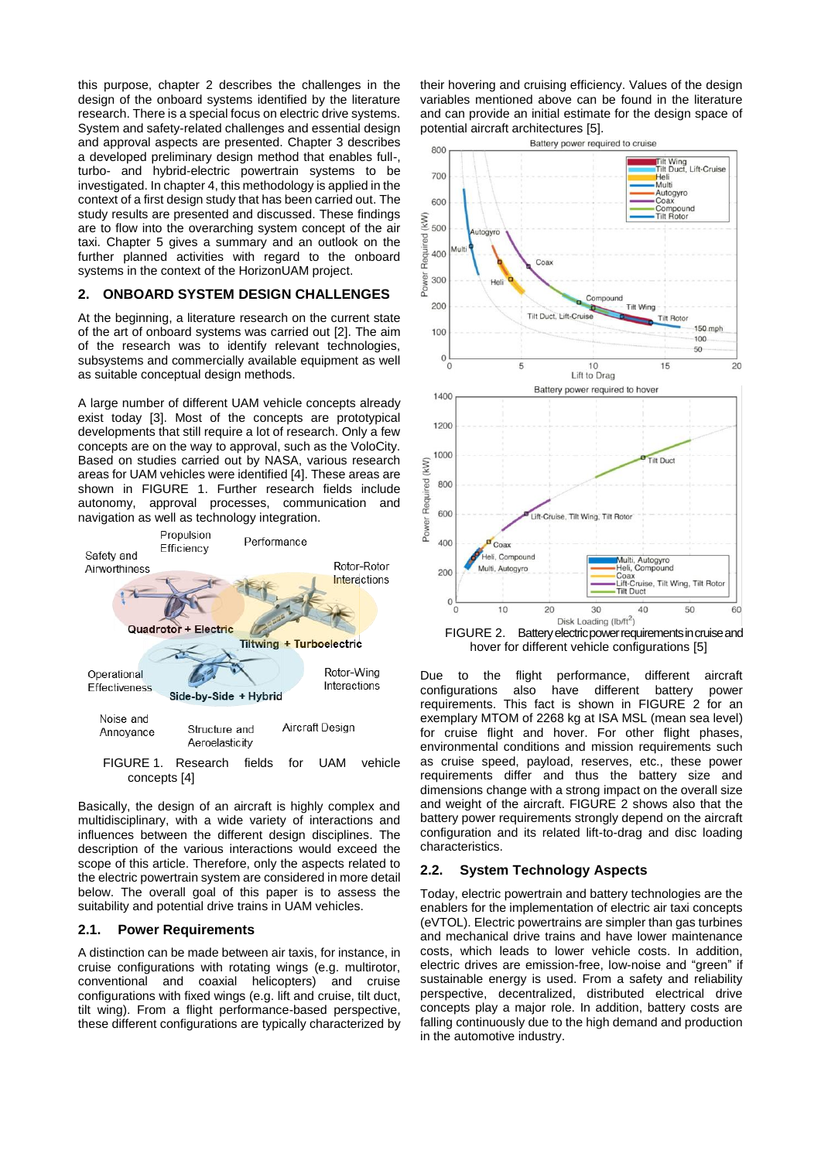this purpose, chapter [2](#page-1-0) describes the challenges in the design of the onboard systems identified by the literature research. There is a special focus on electric drive systems. System and safety-related challenges and essential design and approval aspects are presented. Chapter [3](#page-3-0) describes a developed preliminary design method that enables full-, turbo- and hybrid-electric powertrain systems to be investigated. In chapte[r 4,](#page-6-0) this methodology is applied in the context of a first design study that has been carried out. The study results are presented and discussed. These findings are to flow into the overarching system concept of the air taxi. Chapter [5](#page-11-1) gives a summary and an outlook on the further planned activities with regard to the onboard systems in the context of the HorizonUAM project.

## <span id="page-1-0"></span>**2. ONBOARD SYSTEM DESIGN CHALLENGES**

At the beginning, a literature research on the current state of the art of onboard systems was carried out [\[2\].](#page-11-2) The aim of the research was to identify relevant technologies, subsystems and commercially available equipment as well as suitable conceptual design methods.

A large number of different UAM vehicle concepts already exist today [\[3\].](#page-11-3) Most of the concepts are prototypical developments that still require a lot of research. Only a few concepts are on the way to approval, such as the VoloCity. Based on studies carried out by NASA, various research areas for UAM vehicles were identified [\[4\].](#page-11-4) These areas are shown in [FIGURE 1.](#page-1-1) Further research fields include autonomy, approval processes, communication and navigation as well as technology integration.



<span id="page-1-1"></span>Basically, the design of an aircraft is highly complex and multidisciplinary, with a wide variety of interactions and influences between the different design disciplines. The description of the various interactions would exceed the scope of this article. Therefore, only the aspects related to the electric powertrain system are considered in more detail below. The overall goal of this paper is to assess the suitability and potential drive trains in UAM vehicles.

#### **2.1. Power Requirements**

A distinction can be made between air taxis, for instance, in cruise configurations with rotating wings (e.g. multirotor, conventional and coaxial helicopters) and cruise configurations with fixed wings (e.g. lift and cruise, tilt duct, tilt wing). From a flight performance-based perspective, these different configurations are typically characterized by

their hovering and cruising efficiency. Values of the design variables mentioned above can be found in the literature and can provide an initial estimate for the design space of potential aircraft architectures [\[5\].](#page-11-5)



<span id="page-1-2"></span>hover for different vehicle configurations [\[5\]](#page-11-5)

Due to the flight performance, different aircraft<br>configurations also have different battery power configurations also have different battery requirements. This fact is shown in [FIGURE 2](#page-1-2) for an exemplary MTOM of 2268 kg at ISA MSL (mean sea level) for cruise flight and hover. For other flight phases, environmental conditions and mission requirements such as cruise speed, payload, reserves, etc., these power requirements differ and thus the battery size and dimensions change with a strong impact on the overall size and weight of the aircraft. [FIGURE 2](#page-1-2) shows also that the battery power requirements strongly depend on the aircraft configuration and its related lift-to-drag and disc loading characteristics.

## **2.2. System Technology Aspects**

Today, electric powertrain and battery technologies are the enablers for the implementation of electric air taxi concepts (eVTOL). Electric powertrains are simpler than gas turbines and mechanical drive trains and have lower maintenance costs, which leads to lower vehicle costs. In addition, electric drives are emission-free, low-noise and "green" if sustainable energy is used. From a safety and reliability perspective, decentralized, distributed electrical drive concepts play a major role. In addition, battery costs are falling continuously due to the high demand and production in the automotive industry.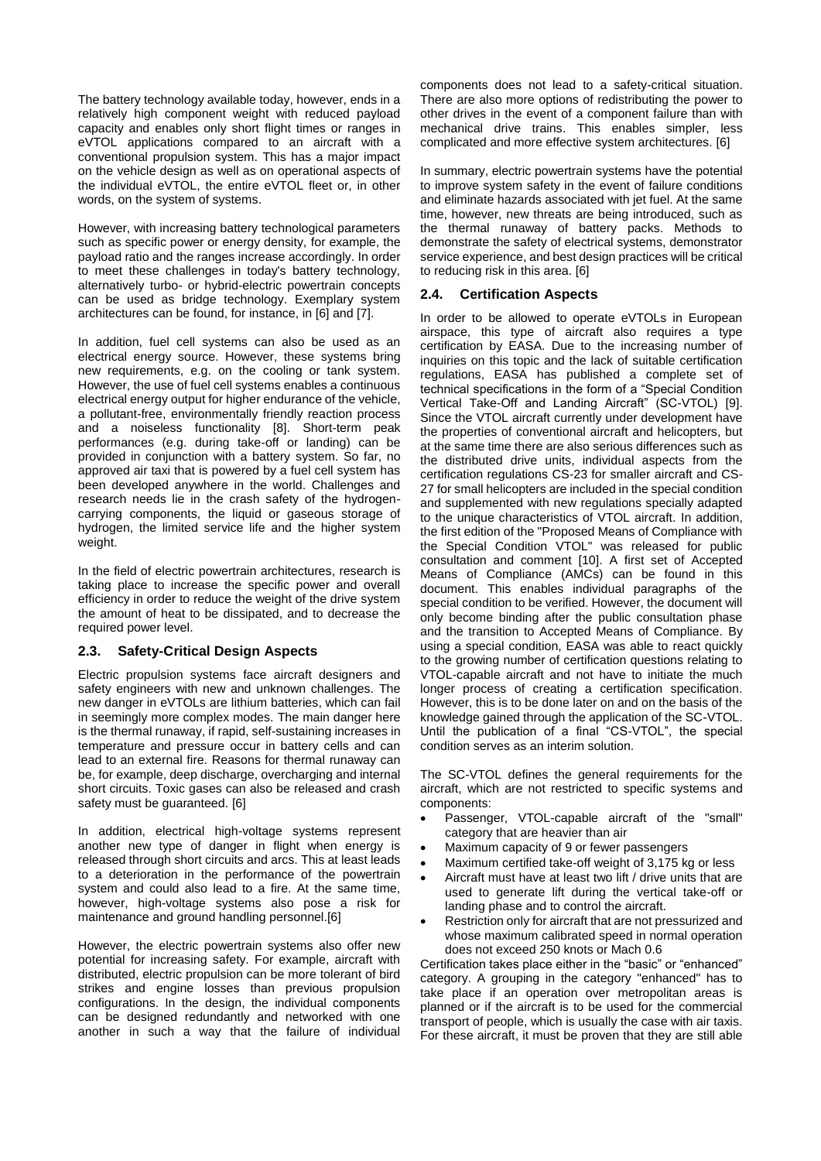The battery technology available today, however, ends in a relatively high component weight with reduced payload capacity and enables only short flight times or ranges in eVTOL applications compared to an aircraft with a conventional propulsion system. This has a major impact on the vehicle design as well as on operational aspects of the individual eVTOL, the entire eVTOL fleet or, in other words, on the system of systems.

However, with increasing battery technological parameters such as specific power or energy density, for example, the payload ratio and the ranges increase accordingly. In order to meet these challenges in today's battery technology, alternatively turbo- or hybrid-electric powertrain concepts can be used as bridge technology. Exemplary system architectures can be found, for instance, in [\[6\]](#page-11-6) and [\[7\].](#page-11-7)

In addition, fuel cell systems can also be used as an electrical energy source. However, these systems bring new requirements, e.g. on the cooling or tank system. However, the use of fuel cell systems enables a continuous electrical energy output for higher endurance of the vehicle, a pollutant-free, environmentally friendly reaction process and a noiseless functionality [\[8\].](#page-11-8) Short-term peak performances (e.g. during take-off or landing) can be provided in conjunction with a battery system. So far, no approved air taxi that is powered by a fuel cell system has been developed anywhere in the world. Challenges and research needs lie in the crash safety of the hydrogencarrying components, the liquid or gaseous storage of hydrogen, the limited service life and the higher system weight.

In the field of electric powertrain architectures, research is taking place to increase the specific power and overall efficiency in order to reduce the weight of the drive system the amount of heat to be dissipated, and to decrease the required power level.

## <span id="page-2-0"></span>**2.3. Safety-Critical Design Aspects**

Electric propulsion systems face aircraft designers and safety engineers with new and unknown challenges. The new danger in eVTOLs are lithium batteries, which can fail in seemingly more complex modes. The main danger here is the thermal runaway, if rapid, self-sustaining increases in temperature and pressure occur in battery cells and can lead to an external fire. Reasons for thermal runaway can be, for example, deep discharge, overcharging and internal short circuits. Toxic gases can also be released and crash safety must be guaranteed. [\[6\]](#page-11-6)

In addition, electrical high-voltage systems represent another new type of danger in flight when energy is released through short circuits and arcs. This at least leads to a deterioration in the performance of the powertrain system and could also lead to a fire. At the same time, however, high-voltage systems also pose a risk for maintenance and ground handling personnel[.\[6\]](#page-11-6)

However, the electric powertrain systems also offer new potential for increasing safety. For example, aircraft with distributed, electric propulsion can be more tolerant of bird strikes and engine losses than previous propulsion configurations. In the design, the individual components can be designed redundantly and networked with one another in such a way that the failure of individual

components does not lead to a safety-critical situation. There are also more options of redistributing the power to other drives in the event of a component failure than with mechanical drive trains. This enables simpler, less complicated and more effective system architectures. [\[6\]](#page-11-6)

In summary, electric powertrain systems have the potential to improve system safety in the event of failure conditions and eliminate hazards associated with jet fuel. At the same time, however, new threats are being introduced, such as the thermal runaway of battery packs. Methods to demonstrate the safety of electrical systems, demonstrator service experience, and best design practices will be critical to reducing risk in this area[. \[6\]](#page-11-6)

## <span id="page-2-1"></span>**2.4. Certification Aspects**

In order to be allowed to operate eVTOLs in European airspace, this type of aircraft also requires a type certification by EASA. Due to the increasing number of inquiries on this topic and the lack of suitable certification regulations, EASA has published a complete set of technical specifications in the form of a "Special Condition Vertical Take-Off and Landing Aircraft" (SC-VTOL) [\[9\].](#page-11-9) Since the VTOL aircraft currently under development have the properties of conventional aircraft and helicopters, but at the same time there are also serious differences such as the distributed drive units, individual aspects from the certification regulations CS-23 for smaller aircraft and CS-27 for small helicopters are included in the special condition and supplemented with new regulations specially adapted to the unique characteristics of VTOL aircraft. In addition, the first edition of the "Proposed Means of Compliance with the Special Condition VTOL" was released for public consultation and comment [\[10\].](#page-11-10) A first set of Accepted Means of Compliance (AMCs) can be found in this document. This enables individual paragraphs of the special condition to be verified. However, the document will only become binding after the public consultation phase and the transition to Accepted Means of Compliance. By using a special condition, EASA was able to react quickly to the growing number of certification questions relating to VTOL-capable aircraft and not have to initiate the much longer process of creating a certification specification. However, this is to be done later on and on the basis of the knowledge gained through the application of the SC-VTOL. Until the publication of a final "CS-VTOL", the special condition serves as an interim solution.

The SC-VTOL defines the general requirements for the aircraft, which are not restricted to specific systems and components:

- Passenger, VTOL-capable aircraft of the "small" category that are heavier than air
- Maximum capacity of 9 or fewer passengers
- Maximum certified take-off weight of 3,175 kg or less
- Aircraft must have at least two lift / drive units that are used to generate lift during the vertical take-off or landing phase and to control the aircraft.
- Restriction only for aircraft that are not pressurized and whose maximum calibrated speed in normal operation does not exceed 250 knots or Mach 0.6

Certification takes place either in the "basic" or "enhanced" category. A grouping in the category "enhanced" has to take place if an operation over metropolitan areas is planned or if the aircraft is to be used for the commercial transport of people, which is usually the case with air taxis. For these aircraft, it must be proven that they are still able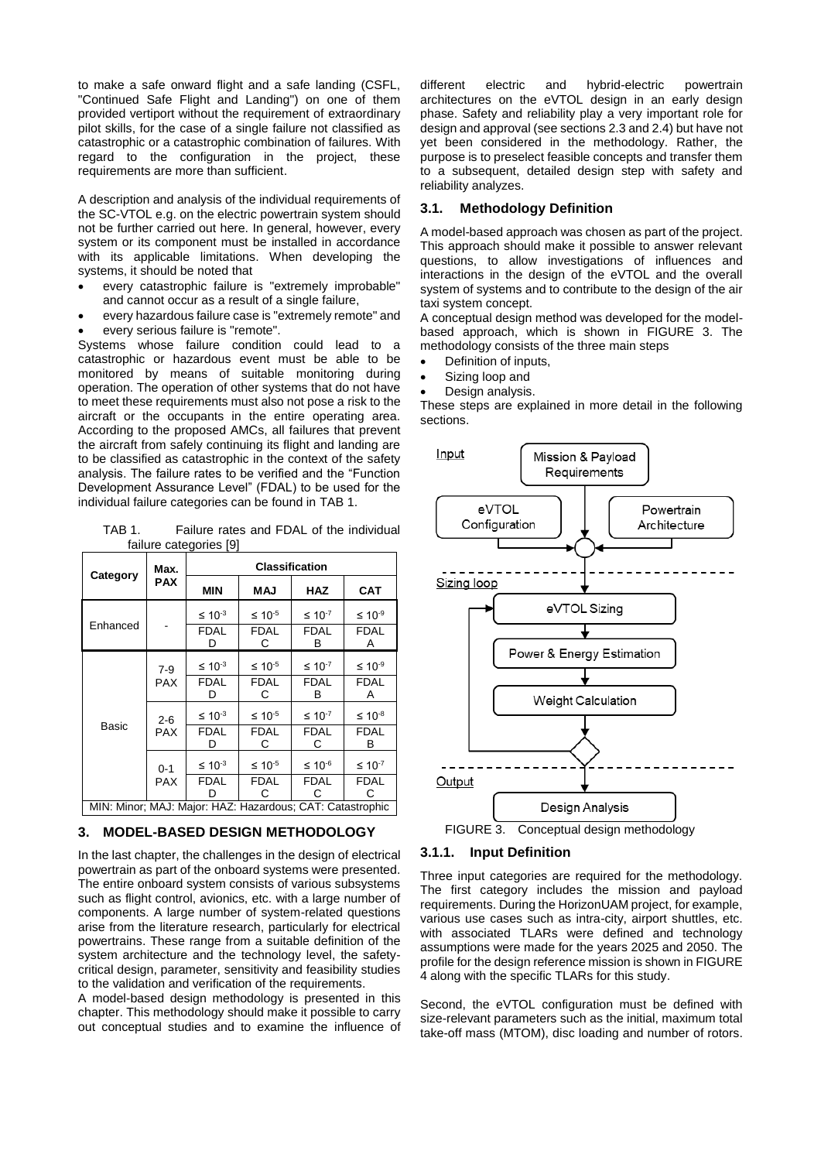to make a safe onward flight and a safe landing (CSFL, "Continued Safe Flight and Landing") on one of them provided vertiport without the requirement of extraordinary pilot skills, for the case of a single failure not classified as catastrophic or a catastrophic combination of failures. With regard to the configuration in the project, these requirements are more than sufficient.

A description and analysis of the individual requirements of the SC-VTOL e.g. on the electric powertrain system should not be further carried out here. In general, however, every system or its component must be installed in accordance with its applicable limitations. When developing the systems, it should be noted that

- every catastrophic failure is "extremely improbable" and cannot occur as a result of a single failure,
- every hazardous failure case is "extremely remote" and
- every serious failure is "remote".

Systems whose failure condition could lead to a catastrophic or hazardous event must be able to be monitored by means of suitable monitoring during operation. The operation of other systems that do not have to meet these requirements must also not pose a risk to the aircraft or the occupants in the entire operating area. According to the proposed AMCs, all failures that prevent the aircraft from safely continuing its flight and landing are to be classified as catastrophic in the context of the safety analysis. The failure rates to be verified and the "Function Development Assurance Level" (FDAL) to be used for the individual failure categories can be found in [TAB 1.](#page-3-1)

<span id="page-3-1"></span>TAB 1. Failure rates and FDAL of the individual failure categorie[s \[9\]](#page-11-9)

| Category                                                  | Max.                                           | <b>Classification</b>      |                  |                  |                    |  |  |  |
|-----------------------------------------------------------|------------------------------------------------|----------------------------|------------------|------------------|--------------------|--|--|--|
|                                                           | <b>PAX</b>                                     | <b>MIN</b>                 | MAJ              | HAZ              | <b>CAT</b>         |  |  |  |
| Enhanced                                                  |                                                | $\leq 10^{-3}$             | $≤ 10-5$         | $\leq 10^{-7}$   | $≤ 10-9$           |  |  |  |
|                                                           |                                                | <b>FDAL</b><br>D           | <b>FDAL</b><br>С | <b>FDAL</b><br>В | <b>FDAL</b><br>Α   |  |  |  |
| Basic                                                     | $7-9$                                          | $\leq 10^{-5}$<br>$≤ 10-3$ |                  | $≤ 10-7$         | ≤ 10 <sup>-9</sup> |  |  |  |
|                                                           | <b>PAX</b>                                     | <b>FDAL</b><br>D           | <b>FDAL</b><br>С | <b>FDAL</b><br>в | <b>FDAL</b><br>A   |  |  |  |
|                                                           | $2 - 6$<br><b>PAX</b><br>$0 - 1$<br><b>PAX</b> | $≤ 10-3$                   | $≤ 10-5$         | $≤ 10-7$         | $≤ 10^{-8}$        |  |  |  |
|                                                           |                                                | <b>FDAL</b><br>D           | <b>FDAL</b><br>С | <b>FDAL</b><br>С | <b>FDAL</b><br>в   |  |  |  |
|                                                           |                                                | $\leq 10^{-3}$             | $\leq 10^{-5}$   | $≤ 10^{-6}$      | $≤ 10-7$           |  |  |  |
|                                                           |                                                | <b>FDAL</b>                | <b>FDAL</b><br>С | <b>FDAL</b><br>С | <b>FDAL</b><br>С   |  |  |  |
| MIN: Minor; MAJ: Major: HAZ: Hazardous; CAT: Catastrophic |                                                |                            |                  |                  |                    |  |  |  |

#### <span id="page-3-0"></span>**3. MODEL-BASED DESIGN METHODOLOGY**

In the last chapter, the challenges in the design of electrical powertrain as part of the onboard systems were presented. The entire onboard system consists of various subsystems such as flight control, avionics, etc. with a large number of components. A large number of system-related questions arise from the literature research, particularly for electrical powertrains. These range from a suitable definition of the system architecture and the technology level, the safetycritical design, parameter, sensitivity and feasibility studies to the validation and verification of the requirements.

A model-based design methodology is presented in this chapter. This methodology should make it possible to carry out conceptual studies and to examine the influence of

different electric and hybrid-electric powertrain architectures on the eVTOL design in an early design phase. Safety and reliability play a very important role for design and approval (see sections [2.3](#page-2-0) an[d 2.4\)](#page-2-1) but have not yet been considered in the methodology. Rather, the purpose is to preselect feasible concepts and transfer them to a subsequent, detailed design step with safety and reliability analyzes.

## **3.1. Methodology Definition**

A model-based approach was chosen as part of the project. This approach should make it possible to answer relevant questions, to allow investigations of influences and interactions in the design of the eVTOL and the overall system of systems and to contribute to the design of the air taxi system concept.

A conceptual design method was developed for the modelbased approach, which is shown in [FIGURE 3.](#page-3-2) The methodology consists of the three main steps

- Definition of inputs,
- Sizing loop and
- Design analysis.

These steps are explained in more detail in the following sections.



## <span id="page-3-2"></span>**3.1.1. Input Definition**

Three input categories are required for the methodology. The first category includes the mission and payload requirements. During the HorizonUAM project, for example, various use cases such as intra-city, airport shuttles, etc. with associated TLARs were defined and technology assumptions were made for the years 2025 and 2050. The profile for the design reference mission is shown in [FIGURE](#page-6-1)  [4](#page-6-1) along with the specific TLARs for this study.

Second, the eVTOL configuration must be defined with size-relevant parameters such as the initial, maximum total take-off mass (MTOM), disc loading and number of rotors.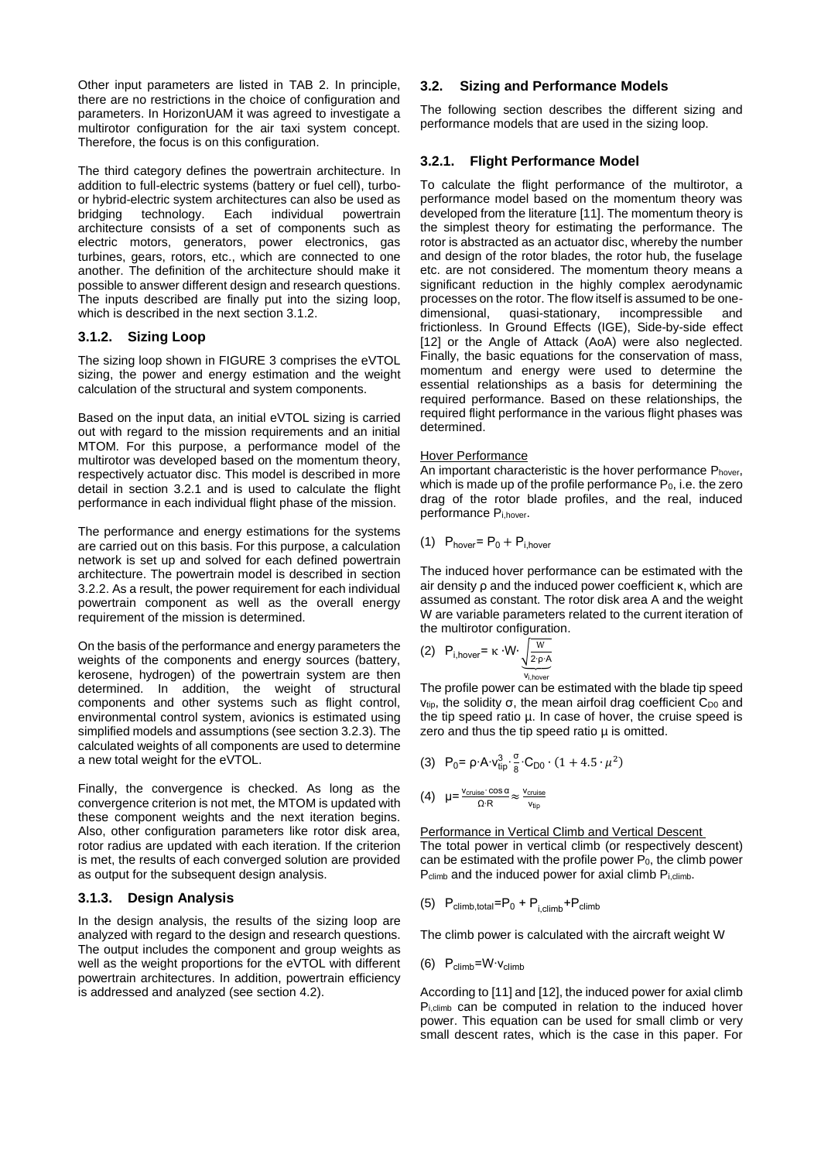Other input parameters are listed in [TAB 2.](#page-6-2) In principle, there are no restrictions in the choice of configuration and parameters. In HorizonUAM it was agreed to investigate a multirotor configuration for the air taxi system concept. Therefore, the focus is on this configuration.

The third category defines the powertrain architecture. In addition to full-electric systems (battery or fuel cell), turboor hybrid-electric system architectures can also be used as bridging technology. Each individual powertrain architecture consists of a set of components such as electric motors, generators, power electronics, gas turbines, gears, rotors, etc., which are connected to one another. The definition of the architecture should make it possible to answer different design and research questions. The inputs described are finally put into the sizing loop, which is described in the next section [3.1.2.](#page-4-0)

## <span id="page-4-0"></span>**3.1.2. Sizing Loop**

The sizing loop shown i[n FIGURE 3](#page-3-2) comprises the eVTOL sizing, the power and energy estimation and the weight calculation of the structural and system components.

Based on the input data, an initial eVTOL sizing is carried out with regard to the mission requirements and an initial MTOM. For this purpose, a performance model of the multirotor was developed based on the momentum theory, respectively actuator disc. This model is described in more detail in section [3.2.1](#page-4-1) and is used to calculate the flight performance in each individual flight phase of the mission.

The performance and energy estimations for the systems are carried out on this basis. For this purpose, a calculation network is set up and solved for each defined powertrain architecture. The powertrain model is described in section [3.2.2.](#page-5-0) As a result, the power requirement for each individual powertrain component as well as the overall energy requirement of the mission is determined.

On the basis of the performance and energy parameters the weights of the components and energy sources (battery, kerosene, hydrogen) of the powertrain system are then determined. In addition, the weight of structural components and other systems such as flight control, environmental control system, avionics is estimated using simplified models and assumptions (see section [3.2.3\)](#page-6-3). The calculated weights of all components are used to determine a new total weight for the eVTOL.

Finally, the convergence is checked. As long as the convergence criterion is not met, the MTOM is updated with these component weights and the next iteration begins. Also, other configuration parameters like rotor disk area, rotor radius are updated with each iteration. If the criterion is met, the results of each converged solution are provided as output for the subsequent design analysis.

## **3.1.3. Design Analysis**

In the design analysis, the results of the sizing loop are analyzed with regard to the design and research questions. The output includes the component and group weights as well as the weight proportions for the eVTOL with different powertrain architectures. In addition, powertrain efficiency is addressed and analyzed (see section [4.2\)](#page-7-0).

## <span id="page-4-2"></span>**3.2. Sizing and Performance Models**

The following section describes the different sizing and performance models that are used in the sizing loop.

## <span id="page-4-1"></span>**3.2.1. Flight Performance Model**

To calculate the flight performance of the multirotor, a performance model based on the momentum theory was developed from the literatur[e \[11\].](#page-11-11) The momentum theory is the simplest theory for estimating the performance. The rotor is abstracted as an actuator disc, whereby the number and design of the rotor blades, the rotor hub, the fuselage etc. are not considered. The momentum theory means a significant reduction in the highly complex aerodynamic processes on the rotor. The flow itself is assumed to be onedimensional, quasi-stationary, incompressible and frictionless. In Ground Effects (IGE), Side-by-side effect [\[12\]](#page-11-12) or the Angle of Attack (AoA) were also neglected. Finally, the basic equations for the conservation of mass, momentum and energy were used to determine the essential relationships as a basis for determining the required performance. Based on these relationships, the required flight performance in the various flight phases was determined.

#### Hover Performance

An important characteristic is the hover performance Phover, which is made up of the profile performance  $P_0$ , i.e. the zero drag of the rotor blade profiles, and the real, induced performance Pi,hover.

(1) 
$$
P_{\text{hover}} = P_0 + P_{i,\text{hover}}
$$

The induced hover performance can be estimated with the air density ρ and the induced power coefficient κ, which are assumed as constant. The rotor disk area A and the weight W are variable parameters related to the current iteration of the multirotor configuration.

(2) 
$$
P_{i,\text{hover}} = \kappa \cdot W \cdot \underbrace{\sqrt{\frac{W}{2 \cdot p \cdot A}}}_{V_{i,\text{hover}}}
$$

The profile power can be estimated with the blade tip speed  $v_{\text{tio}}$ , the solidity σ, the mean airfoil drag coefficient C<sub>D0</sub> and the tip speed ratio µ. In case of hover, the cruise speed is zero and thus the tip speed ratio  $\mu$  is omitted.

(3) 
$$
P_0 = \rho \cdot A \cdot v_{\text{tip}}^3 \cdot \frac{\sigma}{8} \cdot C_{D0} \cdot (1 + 4.5 \cdot \mu^2)
$$

$$
(4) \quad \mu = \frac{v_{\text{cruise}} \cdot \cos \alpha}{\Omega \cdot R} \approx \frac{v_{\text{cruise}}}{v_{\text{tip}}}
$$

Performance in Vertical Climb and Vertical Descent The total power in vertical climb (or respectively descent) can be estimated with the profile power  $P_0$ , the climb power P<sub>climb</sub> and the induced power for axial climb P<sub>i,climb</sub>.

(5) 
$$
P_{\text{climb, total}} = P_0 + P_{i, \text{climb}} + P_{\text{climb}}
$$

The climb power is calculated with the aircraft weight W

(6)  $P_{\text{climb}}=W\cdot V_{\text{climb}}$ 

According t[o \[11\]](#page-11-11) and [\[12\],](#page-11-12) the induced power for axial climb P<sub>i,climb</sub> can be computed in relation to the induced hover power. This equation can be used for small climb or very small descent rates, which is the case in this paper. For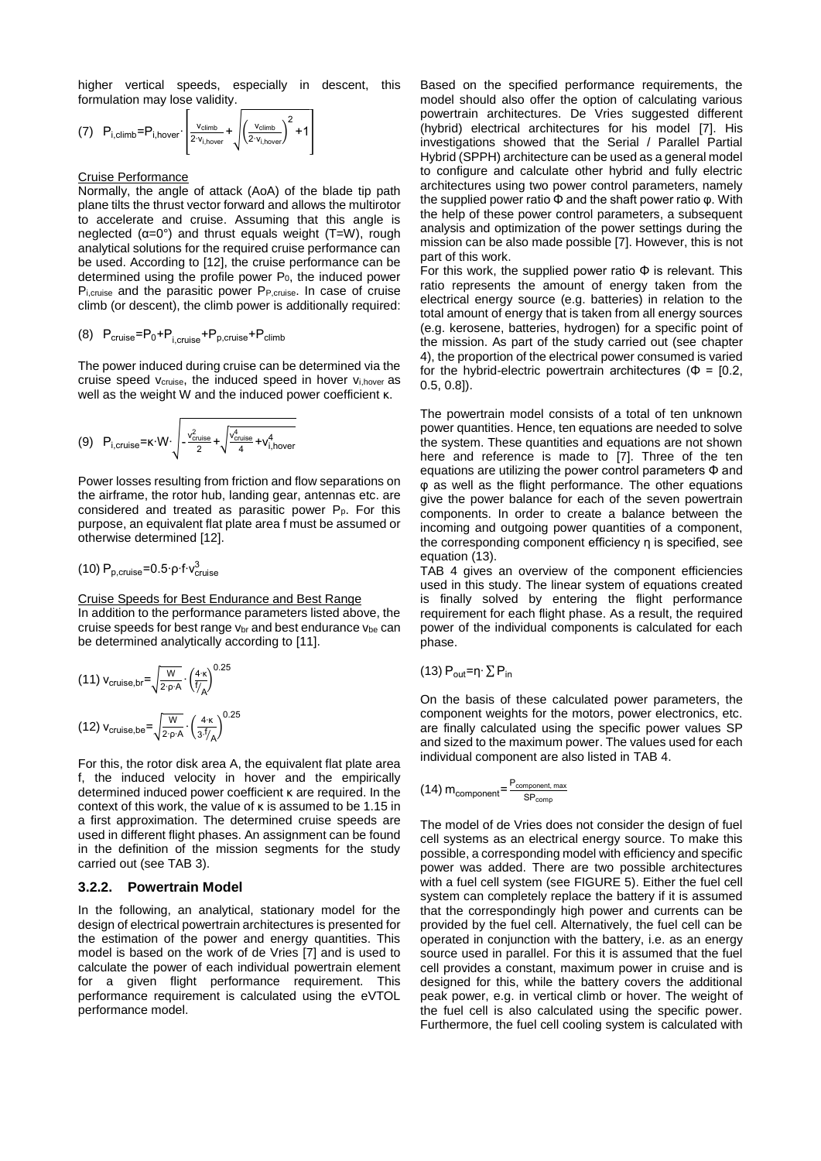higher vertical speeds, especially in descent, this formulation may lose validity.

$$
(7) \quad P_{i, \text{climb}} = P_{i, \text{hover}} \cdot \left[ \frac{v_{\text{climb}}}{2 \cdot v_{i, \text{hover}}} + \sqrt{\left(\frac{v_{\text{climb}}}{2 \cdot v_{i, \text{hover}}}\right)^2 + 1} \right]
$$

#### Cruise Performance

Normally, the angle of attack (AoA) of the blade tip path plane tilts the thrust vector forward and allows the multirotor to accelerate and cruise. Assuming that this angle is neglected  $(\alpha=0^{\circ})$  and thrust equals weight (T=W), rough analytical solutions for the required cruise performance can be used. According to [\[12\],](#page-11-12) the cruise performance can be determined using the profile power  $P_0$ , the induced power Pi, cruise and the parasitic power PP, cruise. In case of cruise climb (or descent), the climb power is additionally required:

$$
(8) \quad P_{\text{cruise}} = P_0 + P_{i,\text{cruise}} + P_{p,\text{cruise}} + P_{\text{climb}}
$$

The power induced during cruise can be determined via the cruise speed v<sub>cruise</sub>, the induced speed in hover v<sub>i,hover</sub> as well as the weight W and the induced power coefficient κ.

$$
(9) \quad P_{i, \text{critise}} = \kappa \cdot W \cdot \sqrt{-\frac{v_{\text{critise}}^2}{2} + \sqrt{\frac{v_{\text{critise}}^4}{4} + v_{i, \text{hover}}^4}}
$$

Power losses resulting from friction and flow separations on the airframe, the rotor hub, landing gear, antennas etc. are considered and treated as parasitic power  $P_p$ . For this purpose, an equivalent flat plate area f must be assumed or otherwise determined [\[12\].](#page-11-12) 

(10) 
$$
P_{p,crwise} = 0.5 \cdot \rho \cdot f \cdot v_{crwise}^3
$$

Cruise Speeds for Best Endurance and Best Range In addition to the performance parameters listed above, the cruise speeds for best range  $v_{\text{br}}$  and best endurance  $v_{\text{be}}$  can be determined analytically according to [\[11\].](#page-11-11)

<span id="page-5-3"></span><span id="page-5-2"></span>(11) 
$$
V_{\text{cruise,br}} = \sqrt{\frac{W}{2 \cdot \rho \cdot A}} \cdot \left(\frac{4 \cdot \kappa}{f/A}\right)^{0.25}
$$

$$
(12) \, V_{\text{cruise,be}} = \sqrt{\frac{W}{2 \cdot \rho \cdot A}} \cdot \left(\frac{4 \cdot \kappa}{3 \cdot f/A}\right)^{0.25}
$$

For this, the rotor disk area A, the equivalent flat plate area f, the induced velocity in hover and the empirically determined induced power coefficient κ are required. In the context of this work, the value of κ is assumed to be 1.15 in a first approximation. The determined cruise speeds are used in different flight phases. An assignment can be found in the definition of the mission segments for the study carried out (see [TAB 3\)](#page-7-1).

#### <span id="page-5-0"></span>**3.2.2. Powertrain Model**

In the following, an analytical, stationary model for the design of electrical powertrain architectures is presented for the estimation of the power and energy quantities. This model is based on the work of de Vries [\[7\]](#page-11-7) and is used to calculate the power of each individual powertrain element for a given flight performance requirement. This performance requirement is calculated using the eVTOL performance model.

Based on the specified performance requirements, the model should also offer the option of calculating various powertrain architectures. De Vries suggested different (hybrid) electrical architectures for his model [\[7\].](#page-11-7) His investigations showed that the Serial / Parallel Partial Hybrid (SPPH) architecture can be used as a general model to configure and calculate other hybrid and fully electric architectures using two power control parameters, namely the supplied power ratio Φ and the shaft power ratio φ. With the help of these power control parameters, a subsequent analysis and optimization of the power settings during the mission can be also made possible [\[7\].](#page-11-7) However, this is not part of this work.

For this work, the supplied power ratio Φ is relevant. This ratio represents the amount of energy taken from the electrical energy source (e.g. batteries) in relation to the total amount of energy that is taken from all energy sources (e.g. kerosene, batteries, hydrogen) for a specific point of the mission. As part of the study carried out (see chapter [4\)](#page-6-0), the proportion of the electrical power consumed is varied for the hybrid-electric powertrain architectures ( $\Phi = [0.2, 1]$ 0.5, 0.8]).

The powertrain model consists of a total of ten unknown power quantities. Hence, ten equations are needed to solve the system. These quantities and equations are not shown here and reference is made to [\[7\].](#page-11-7) Three of the ten equations are utilizing the power control parameters Φ and φ as well as the flight performance. The other equations give the power balance for each of the seven powertrain components. In order to create a balance between the incoming and outgoing power quantities of a component, the corresponding component efficiency η is specified, see equation [\(13\).](#page-5-1)

[TAB 4](#page-7-2) gives an overview of the component efficiencies used in this study. The linear system of equations created is finally solved by entering the flight performance requirement for each flight phase. As a result, the required power of the individual components is calculated for each phase.

<span id="page-5-1"></span>(13) 
$$
P_{out} = \eta \cdot \sum P_{in}
$$

On the basis of these calculated power parameters, the component weights for the motors, power electronics, etc. are finally calculated using the specific power values SP and sized to the maximum power. The values used for each individual component are also listed in [TAB 4.](#page-7-2)

$$
(14) \ m_{\textnormal{component}} \text{=}\frac{\text{P}_{\textnormal{component, max}}}{\text{SP}_{\textnormal{comp}}}
$$

The model of de Vries does not consider the design of fuel cell systems as an electrical energy source. To make this possible, a corresponding model with efficiency and specific power was added. There are two possible architectures with a fuel cell system (see [FIGURE 5\)](#page-7-3). Either the fuel cell system can completely replace the battery if it is assumed that the correspondingly high power and currents can be provided by the fuel cell. Alternatively, the fuel cell can be operated in conjunction with the battery, i.e. as an energy source used in parallel. For this it is assumed that the fuel cell provides a constant, maximum power in cruise and is designed for this, while the battery covers the additional peak power, e.g. in vertical climb or hover. The weight of the fuel cell is also calculated using the specific power. Furthermore, the fuel cell cooling system is calculated with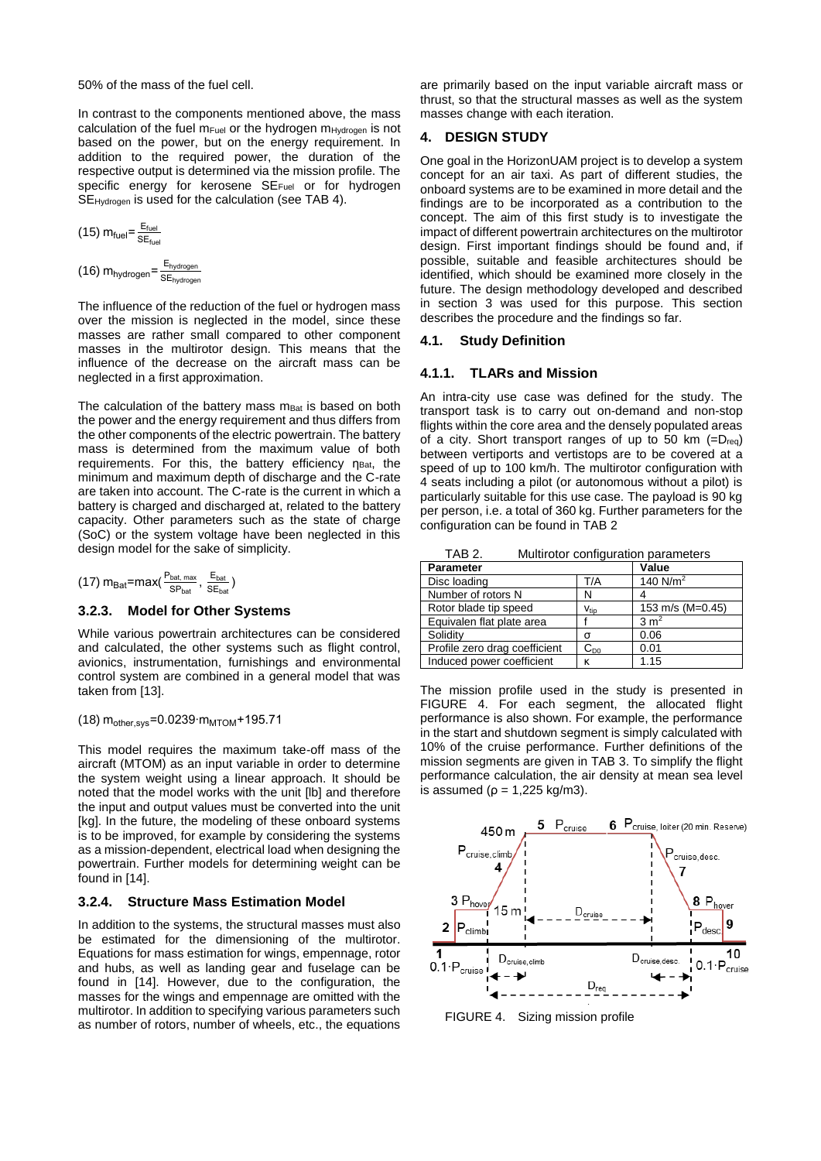50% of the mass of the fuel cell.

In contrast to the components mentioned above, the mass calculation of the fuel  $m_{Fuel}$  or the hydrogen  $m_{Hvdrogen}$  is not based on the power, but on the energy requirement. In addition to the required power, the duration of the respective output is determined via the mission profile. The specific energy for kerosene SE<sub>Fuel</sub> or for hydrogen SEHydrogen is used for the calculation (see [TAB 4\)](#page-7-2).

$$
(15) m_{\text{fuel}} = \frac{E_{\text{fuel}}}{SE_{\text{fuel}}}
$$

(16)  $m_{hydrogen} = \frac{E_{hydrogen}}{SE}$ SE<sub>hydrogen</sub>

The influence of the reduction of the fuel or hydrogen mass over the mission is neglected in the model, since these masses are rather small compared to other component masses in the multirotor design. This means that the influence of the decrease on the aircraft mass can be neglected in a first approximation.

The calculation of the battery mass m<sub>Bat</sub> is based on both the power and the energy requirement and thus differs from the other components of the electric powertrain. The battery mass is determined from the maximum value of both requirements. For this, the battery efficiency  $n<sub>Bat</sub>$ , the minimum and maximum depth of discharge and the C-rate are taken into account. The C-rate is the current in which a battery is charged and discharged at, related to the battery capacity. Other parameters such as the state of charge (SoC) or the system voltage have been neglected in this design model for the sake of simplicity.

$$
(17) \; m_{\text{Bat}} \text{=max}(\frac{\text{P}_{\text{bat, max}}}{\text{SP}_{\text{bat}}}, \frac{\text{E}_{\text{bat}}}{\text{SE}_{\text{bat}}})
$$

## <span id="page-6-3"></span>**3.2.3. Model for Other Systems**

While various powertrain architectures can be considered and calculated, the other systems such as flight control, avionics, instrumentation, furnishings and environmental control system are combined in a general model that was taken fro[m \[13\].](#page-11-13)

(18)  $m_{other.svs} = 0.0239 \cdot m_{MTON} + 195.71$ 

This model requires the maximum take-off mass of the aircraft (MTOM) as an input variable in order to determine the system weight using a linear approach. It should be noted that the model works with the unit [lb] and therefore the input and output values must be converted into the unit [kg]. In the future, the modeling of these onboard systems is to be improved, for example by considering the systems as a mission-dependent, electrical load when designing the powertrain. Further models for determining weight can be found in [\[14\].](#page-11-14)

## **3.2.4. Structure Mass Estimation Model**

In addition to the systems, the structural masses must also be estimated for the dimensioning of the multirotor. Equations for mass estimation for wings, empennage, rotor and hubs, as well as landing gear and fuselage can be found in [\[14\].](#page-11-14) However, due to the configuration, the masses for the wings and empennage are omitted with the multirotor. In addition to specifying various parameters such as number of rotors, number of wheels, etc., the equations

are primarily based on the input variable aircraft mass or thrust, so that the structural masses as well as the system masses change with each iteration.

## <span id="page-6-0"></span>**4. DESIGN STUDY**

One goal in the HorizonUAM project is to develop a system concept for an air taxi. As part of different studies, the onboard systems are to be examined in more detail and the findings are to be incorporated as a contribution to the concept. The aim of this first study is to investigate the impact of different powertrain architectures on the multirotor design. First important findings should be found and, if possible, suitable and feasible architectures should be identified, which should be examined more closely in the future. The design methodology developed and described in section [3](#page-3-0) was used for this purpose. This section describes the procedure and the findings so far.

## **4.1. Study Definition**

#### **4.1.1. TLARs and Mission**

An intra-city use case was defined for the study. The transport task is to carry out on-demand and non-stop flights within the core area and the densely populated areas of a city. Short transport ranges of up to 50 km  $(=D_{req})$ between vertiports and vertistops are to be covered at a speed of up to 100 km/h. The multirotor configuration with 4 seats including a pilot (or autonomous without a pilot) is particularly suitable for this use case. The payload is 90 kg per person, i.e. a total of 360 kg. Further parameters for the configuration can be found in [TAB 2](#page-6-2)

TAB 2. Multirotor configuration parameters

<span id="page-6-2"></span>

| <b>Parameter</b>              |                          | Value            |  |  |
|-------------------------------|--------------------------|------------------|--|--|
| Disc loading                  | T/A                      | 140 $N/m2$       |  |  |
| Number of rotors N            | Ν                        |                  |  |  |
| Rotor blade tip speed         | $V_{\text{tip}}$         | 153 m/s (M=0.45) |  |  |
| Equivalen flat plate area     |                          | 3 m <sup>2</sup> |  |  |
| Solidity                      | σ                        | 0.06             |  |  |
| Profile zero drag coefficient | $\mathrm{C}_{\text{D}0}$ | 0.01             |  |  |
| Induced power coefficient     | κ                        | 1.15             |  |  |

The mission profile used in the study is presented in [FIGURE 4.](#page-6-1) For each segment, the allocated flight performance is also shown. For example, the performance in the start and shutdown segment is simply calculated with 10% of the cruise performance. Further definitions of the mission segments are given in [TAB 3.](#page-7-1) To simplify the flight performance calculation, the air density at mean sea level is assumed ( $p = 1,225$  kg/m3).



<span id="page-6-1"></span>FIGURE 4. Sizing mission profile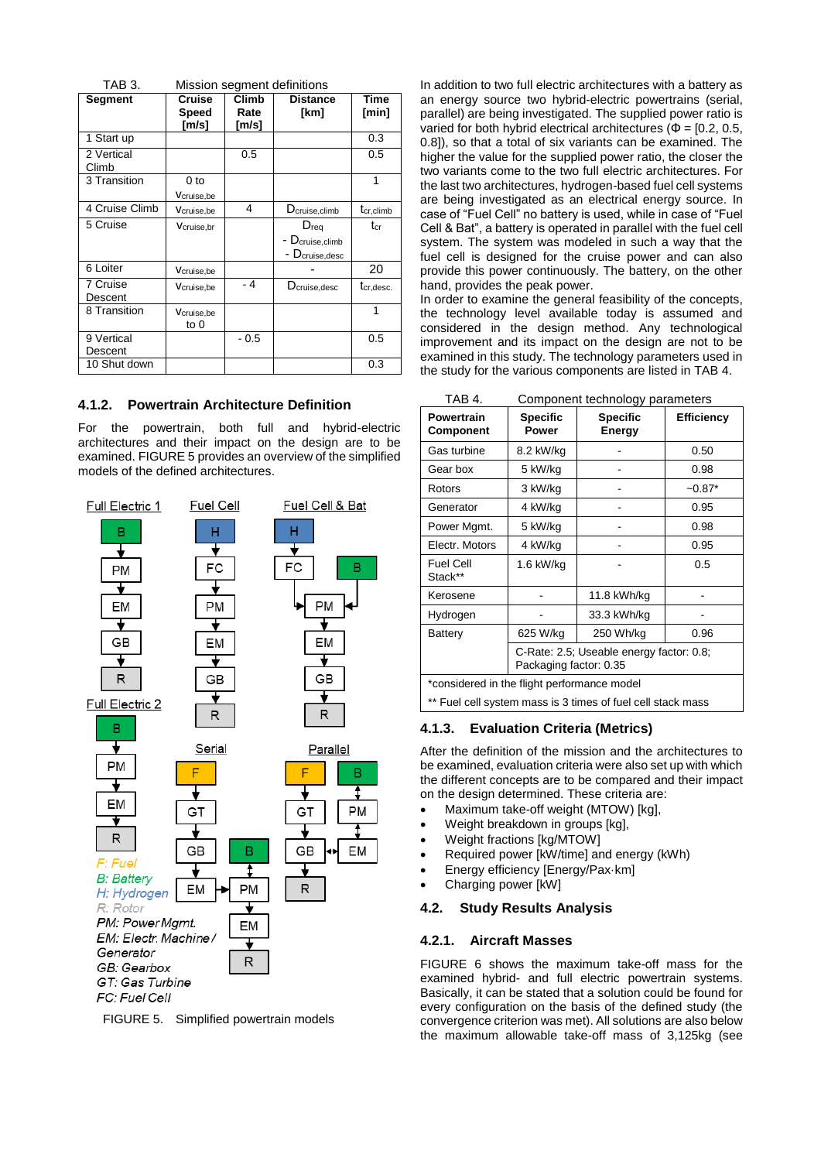<span id="page-7-1"></span>

| TAB 3.<br>Mission segment definitions |                |              |                             |                       |  |  |
|---------------------------------------|----------------|--------------|-----------------------------|-----------------------|--|--|
| Segment                               | Cruise         | <b>Climb</b> | <b>Distance</b>             | Time                  |  |  |
|                                       | Speed<br>[m/s] | Rate         | [km]                        | [min]                 |  |  |
|                                       |                | [m/s]        |                             |                       |  |  |
| 1 Start up                            |                |              |                             | 0.3                   |  |  |
| 2 Vertical                            |                | 0.5          |                             | 0.5                   |  |  |
| Climb                                 |                |              |                             |                       |  |  |
| 3 Transition                          | 0 to           |              |                             | 1                     |  |  |
|                                       | Vcruise,be     |              |                             |                       |  |  |
| 4 Cruise Climb                        | Vcruise, be    | 4            | D <sub>cruise,climb</sub>   | t <sub>cr,climb</sub> |  |  |
| 5 Cruise                              | Vcruise.br     |              | $D_{\text{rea}}$            | tcr                   |  |  |
|                                       |                |              | - D <sub>cruise,climb</sub> |                       |  |  |
|                                       |                |              | - Dcruise, desc             |                       |  |  |
| 6 Loiter                              | Vcruise, be    |              |                             | 20                    |  |  |
| 7 Cruise                              | Vcruise,be     | - 4          | $D_{cruise,desc}$           | tcr,desc.             |  |  |
| Descent                               |                |              |                             |                       |  |  |
| 8 Transition                          | Vcruise, be    |              |                             | 1                     |  |  |
|                                       | to $0$         |              |                             |                       |  |  |
| 9 Vertical                            |                | $-0.5$       |                             | 0.5                   |  |  |
| Descent                               |                |              |                             |                       |  |  |
| 10 Shut down                          |                |              |                             | 0.3                   |  |  |

## **4.1.2. Powertrain Architecture Definition**

For the powertrain, both full and hybrid-electric architectures and their impact on the design are to be examined[. FIGURE 5](#page-7-3) provides an overview of the simplified models of the defined architectures.



<span id="page-7-3"></span>FIGURE 5. Simplified powertrain models

In addition to two full electric architectures with a battery as an energy source two hybrid-electric powertrains (serial, parallel) are being investigated. The supplied power ratio is varied for both hybrid electrical architectures ( $\Phi$  = [0.2, 0.5, 0.8]), so that a total of six variants can be examined. The higher the value for the supplied power ratio, the closer the two variants come to the two full electric architectures. For the last two architectures, hydrogen-based fuel cell systems are being investigated as an electrical energy source. In case of "Fuel Cell" no battery is used, while in case of "Fuel Cell & Bat", a battery is operated in parallel with the fuel cell system. The system was modeled in such a way that the fuel cell is designed for the cruise power and can also provide this power continuously. The battery, on the other hand, provides the peak power.

In order to examine the general feasibility of the concepts, the technology level available today is assumed and considered in the design method. Any technological improvement and its impact on the design are not to be examined in this study. The technology parameters used in the study for the various components are listed in [TAB 4.](#page-7-2)

TAB 4. Component technology parameters

<span id="page-7-2"></span>

| .<br>oomponent teermology parameters                        |                                                                    |                           |                   |  |  |  |  |
|-------------------------------------------------------------|--------------------------------------------------------------------|---------------------------|-------------------|--|--|--|--|
| <b>Powertrain</b><br>Component                              | <b>Specific</b><br>Power                                           | <b>Specific</b><br>Energy | <b>Efficiency</b> |  |  |  |  |
| Gas turbine                                                 | 8.2 kW/kg                                                          |                           | 0.50              |  |  |  |  |
| Gear box                                                    | 5 kW/kg                                                            |                           | 0.98              |  |  |  |  |
| Rotors                                                      | 3 kW/kg                                                            |                           | $-0.87*$          |  |  |  |  |
| Generator                                                   | 4 kW/kg                                                            |                           | 0.95              |  |  |  |  |
| Power Mgmt.                                                 | 5 kW/kg                                                            |                           | 0.98              |  |  |  |  |
| Electr. Motors                                              | 4 kW/ka                                                            |                           | 0.95              |  |  |  |  |
| <b>Fuel Cell</b><br>Stack**                                 | 1.6 kW/kg                                                          |                           | 0.5               |  |  |  |  |
| Kerosene                                                    |                                                                    | 11.8 kWh/kg               |                   |  |  |  |  |
| Hydrogen                                                    |                                                                    | 33.3 kWh/kg               |                   |  |  |  |  |
| Battery                                                     | 625 W/kg                                                           | 250 Wh/kg                 | 0.96              |  |  |  |  |
|                                                             | C-Rate: 2.5; Useable energy factor: 0.8;<br>Packaging factor: 0.35 |                           |                   |  |  |  |  |
| *considered in the flight performance model                 |                                                                    |                           |                   |  |  |  |  |
| ** Fuel cell system mass is 3 times of fuel cell stack mass |                                                                    |                           |                   |  |  |  |  |

#### **4.1.3. Evaluation Criteria (Metrics)**

After the definition of the mission and the architectures to be examined, evaluation criteria were also set up with which the different concepts are to be compared and their impact on the design determined. These criteria are:

- Maximum take-off weight (MTOW) [kg],
- Weight breakdown in groups [kg],
- Weight fractions [kg/MTOW]
- Required power [kW/time] and energy (kWh)
- Energy efficiency [Energy/Pax·km]
- Charging power [kW]

## <span id="page-7-0"></span>**4.2. Study Results Analysis**

#### **4.2.1. Aircraft Masses**

[FIGURE 6](#page-8-0) shows the maximum take-off mass for the examined hybrid- and full electric powertrain systems. Basically, it can be stated that a solution could be found for every configuration on the basis of the defined study (the convergence criterion was met). All solutions are also below the maximum allowable take-off mass of 3,125kg (see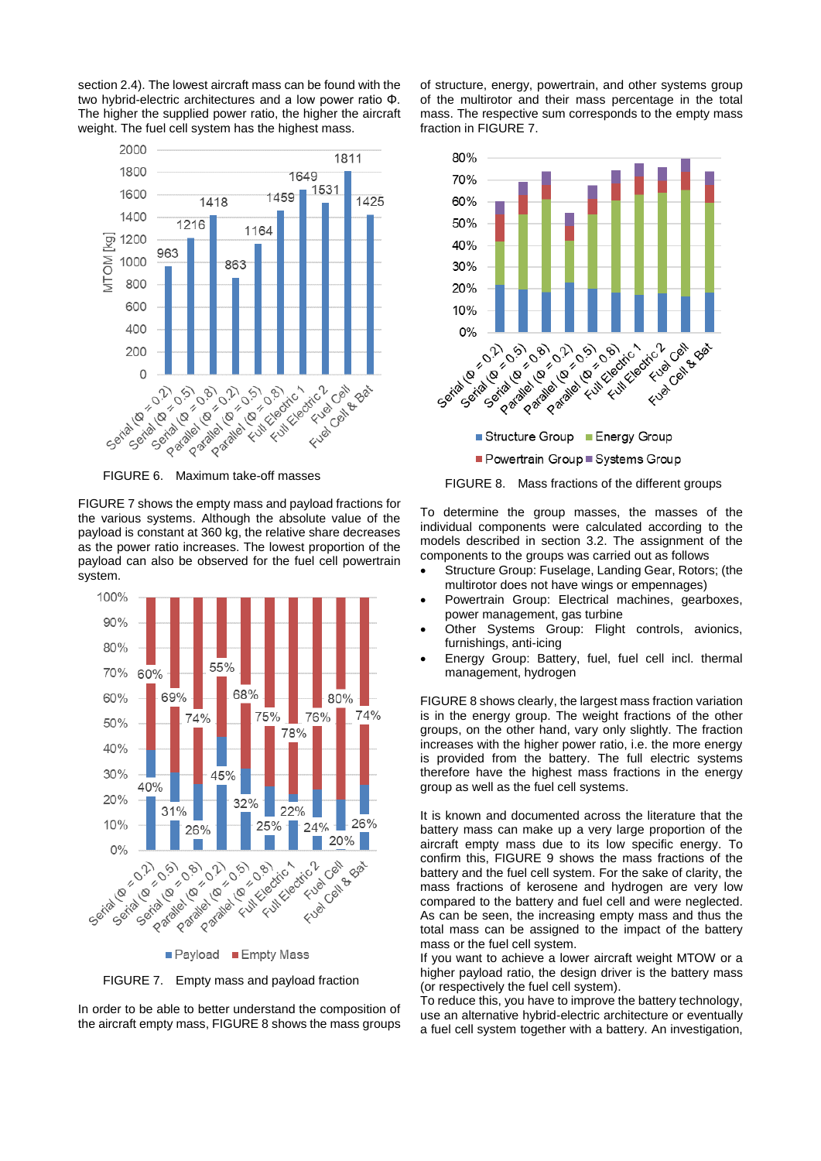section [2.4\)](#page-2-1). The lowest aircraft mass can be found with the two hybrid-electric architectures and a low power ratio Φ. The higher the supplied power ratio, the higher the aircraft weight. The fuel cell system has the highest mass.



<span id="page-8-0"></span>

FIGURE 7 shows the empty mass and payload fractions for the various systems. Although the absolute value of the payload is constant at 360 kg, the relative share decreases as the power ratio increases. The lowest proportion of the payload can also be observed for the fuel cell powertrain system.



<span id="page-8-2"></span>FIGURE 7. Empty mass and payload fraction

In order to be able to better understand the composition of the aircraft empty mass, [FIGURE 8](#page-8-1) shows the mass groups of structure, energy, powertrain, and other systems group of the multirotor and their mass percentage in the total mass. The respective sum corresponds to the empty mass fraction in [FIGURE 7.](#page-8-2)



■ Powertrain Group ■ Systems Group

<span id="page-8-1"></span>FIGURE 8. Mass fractions of the different groups

To determine the group masses, the masses of the individual components were calculated according to the models described in section [3.2.](#page-4-2) The assignment of the components to the groups was carried out as follows

- Structure Group: Fuselage, Landing Gear, Rotors; (the multirotor does not have wings or empennages)
- Powertrain Group: Electrical machines, gearboxes, power management, gas turbine
- Other Systems Group: Flight controls, avionics, furnishings, anti-icing
- Energy Group: Battery, fuel, fuel cell incl. thermal management, hydrogen

[FIGURE 8](#page-8-1) shows clearly, the largest mass fraction variation is in the energy group. The weight fractions of the other groups, on the other hand, vary only slightly. The fraction increases with the higher power ratio, i.e. the more energy is provided from the battery. The full electric systems therefore have the highest mass fractions in the energy group as well as the fuel cell systems.

It is known and documented across the literature that the battery mass can make up a very large proportion of the aircraft empty mass due to its low specific energy. To confirm this, [FIGURE 9](#page-9-0) shows the mass fractions of the battery and the fuel cell system. For the sake of clarity, the mass fractions of kerosene and hydrogen are very low compared to the battery and fuel cell and were neglected. As can be seen, the increasing empty mass and thus the total mass can be assigned to the impact of the battery mass or the fuel cell system.

If you want to achieve a lower aircraft weight MTOW or a higher payload ratio, the design driver is the battery mass (or respectively the fuel cell system).

To reduce this, you have to improve the battery technology, use an alternative hybrid-electric architecture or eventually a fuel cell system together with a battery. An investigation,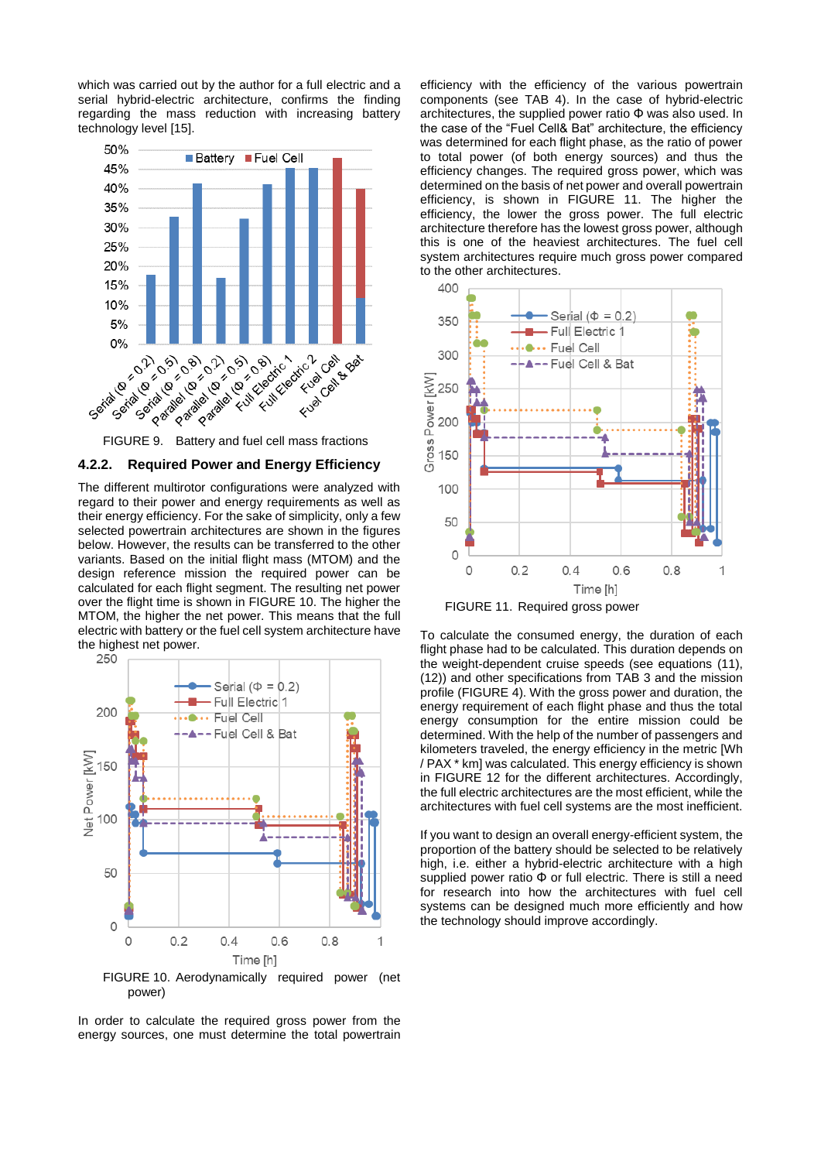which was carried out by the author for a full electric and a serial hybrid-electric architecture, confirms the finding regarding the mass reduction with increasing battery technology level [\[15\].](#page-11-15)



## <span id="page-9-0"></span>**4.2.2. Required Power and Energy Efficiency**

The different multirotor configurations were analyzed with regard to their power and energy requirements as well as their energy efficiency. For the sake of simplicity, only a few selected powertrain architectures are shown in the figures below. However, the results can be transferred to the other variants. Based on the initial flight mass (MTOM) and the design reference mission the required power can be calculated for each flight segment. The resulting net power over the flight time is shown in [FIGURE 10.](#page-9-1) The higher the MTOM, the higher the net power. This means that the full electric with battery or the fuel cell system architecture have the highest net power.<br>250



<span id="page-9-1"></span>In order to calculate the required gross power from the energy sources, one must determine the total powertrain

efficiency with the efficiency of the various powertrain components (see [TAB 4\)](#page-7-2). In the case of hybrid-electric architectures, the supplied power ratio Φ was also used. In the case of the "Fuel Cell& Bat" architecture, the efficiency was determined for each flight phase, as the ratio of power to total power (of both energy sources) and thus the efficiency changes. The required gross power, which was determined on the basis of net power and overall powertrain efficiency, is shown in [FIGURE 11.](#page-9-2) The higher the efficiency, the lower the gross power. The full electric architecture therefore has the lowest gross power, although this is one of the heaviest architectures. The fuel cell system architectures require much gross power compared to the other architectures.



<span id="page-9-2"></span>FIGURE 11. Required gross power

To calculate the consumed energy, the duration of each flight phase had to be calculated. This duration depends on the weight-dependent cruise speeds (see equations [\(11\),](#page-5-2) [\(12\)\)](#page-5-3) and other specifications from [TAB 3](#page-7-1) and the mission profile [\(FIGURE 4\)](#page-6-1). With the gross power and duration, the energy requirement of each flight phase and thus the total energy consumption for the entire mission could be determined. With the help of the number of passengers and kilometers traveled, the energy efficiency in the metric [Wh / PAX \* km] was calculated. This energy efficiency is shown in [FIGURE 12](#page-10-0) for the different architectures. Accordingly, the full electric architectures are the most efficient, while the architectures with fuel cell systems are the most inefficient.

If you want to design an overall energy-efficient system, the proportion of the battery should be selected to be relatively high, i.e. either a hybrid-electric architecture with a high supplied power ratio Φ or full electric. There is still a need for research into how the architectures with fuel cell systems can be designed much more efficiently and how the technology should improve accordingly.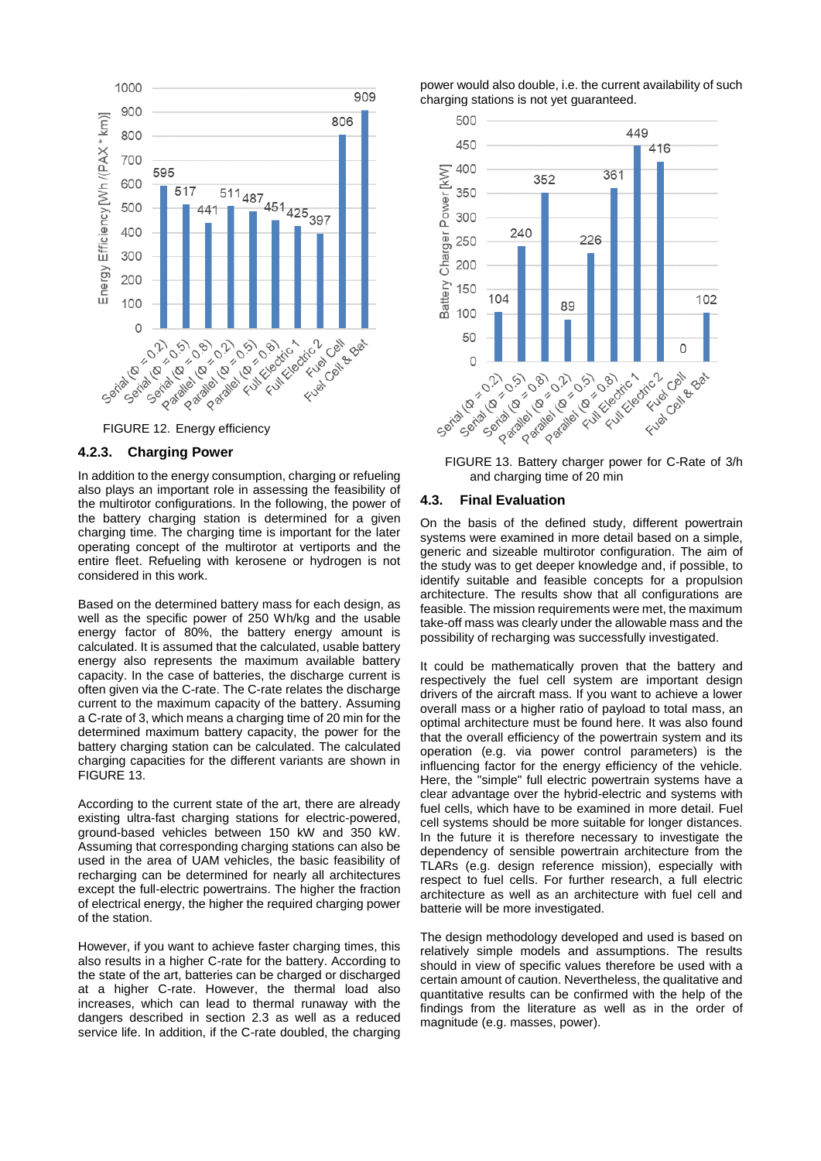

#### <span id="page-10-0"></span>**4.2.3. Charging Power**

In addition to the energy consumption, charging or refueling also plays an important role in assessing the feasibility of the multirotor configurations. In the following, the power of the battery charging station is determined for a given charging time. The charging time is important for the later operating concept of the multirotor at vertiports and the entire fleet. Refueling with kerosene or hydrogen is not considered in this work.

Based on the determined battery mass for each design, as well as the specific power of 250 Wh/kg and the usable energy factor of 80%, the battery energy amount is calculated. It is assumed that the calculated, usable battery energy also represents the maximum available battery capacity. In the case of batteries, the discharge current is often given via the C-rate. The C-rate relates the discharge current to the maximum capacity of the battery. Assuming a C-rate of 3, which means a charging time of 20 min for the determined maximum battery capacity, the power for the battery charging station can be calculated. The calculated charging capacities for the different variants are shown in [FIGURE 13.](#page-10-1)

According to the current state of the art, there are already existing ultra-fast charging stations for electric-powered, ground-based vehicles between 150 kW and 350 kW. Assuming that corresponding charging stations can also be used in the area of UAM vehicles, the basic feasibility of recharging can be determined for nearly all architectures except the full-electric powertrains. The higher the fraction of electrical energy, the higher the required charging power of the station.

However, if you want to achieve faster charging times, this also results in a higher C-rate for the battery. According to the state of the art, batteries can be charged or discharged at a higher C-rate. However, the thermal load also increases, which can lead to thermal runaway with the dangers described in section [2.3](#page-2-0) as well as a reduced service life. In addition, if the C-rate doubled, the charging

power would also double, i.e. the current availability of such charging stations is not yet guaranteed.



<span id="page-10-1"></span>and charging time of 20 min

#### **4.3. Final Evaluation**

On the basis of the defined study, different powertrain systems were examined in more detail based on a simple, generic and sizeable multirotor configuration. The aim of the study was to get deeper knowledge and, if possible, to identify suitable and feasible concepts for a propulsion architecture. The results show that all configurations are feasible. The mission requirements were met, the maximum take-off mass was clearly under the allowable mass and the possibility of recharging was successfully investigated.

It could be mathematically proven that the battery and respectively the fuel cell system are important design drivers of the aircraft mass. If you want to achieve a lower overall mass or a higher ratio of payload to total mass, an optimal architecture must be found here. It was also found that the overall efficiency of the powertrain system and its operation (e.g. via power control parameters) is the influencing factor for the energy efficiency of the vehicle. Here, the "simple" full electric powertrain systems have a clear advantage over the hybrid-electric and systems with fuel cells, which have to be examined in more detail. Fuel cell systems should be more suitable for longer distances. In the future it is therefore necessary to investigate the dependency of sensible powertrain architecture from the TLARs (e.g. design reference mission), especially with respect to fuel cells. For further research, a full electric architecture as well as an architecture with fuel cell and batterie will be more investigated.

The design methodology developed and used is based on relatively simple models and assumptions. The results should in view of specific values therefore be used with a certain amount of caution. Nevertheless, the qualitative and quantitative results can be confirmed with the help of the findings from the literature as well as in the order of magnitude (e.g. masses, power).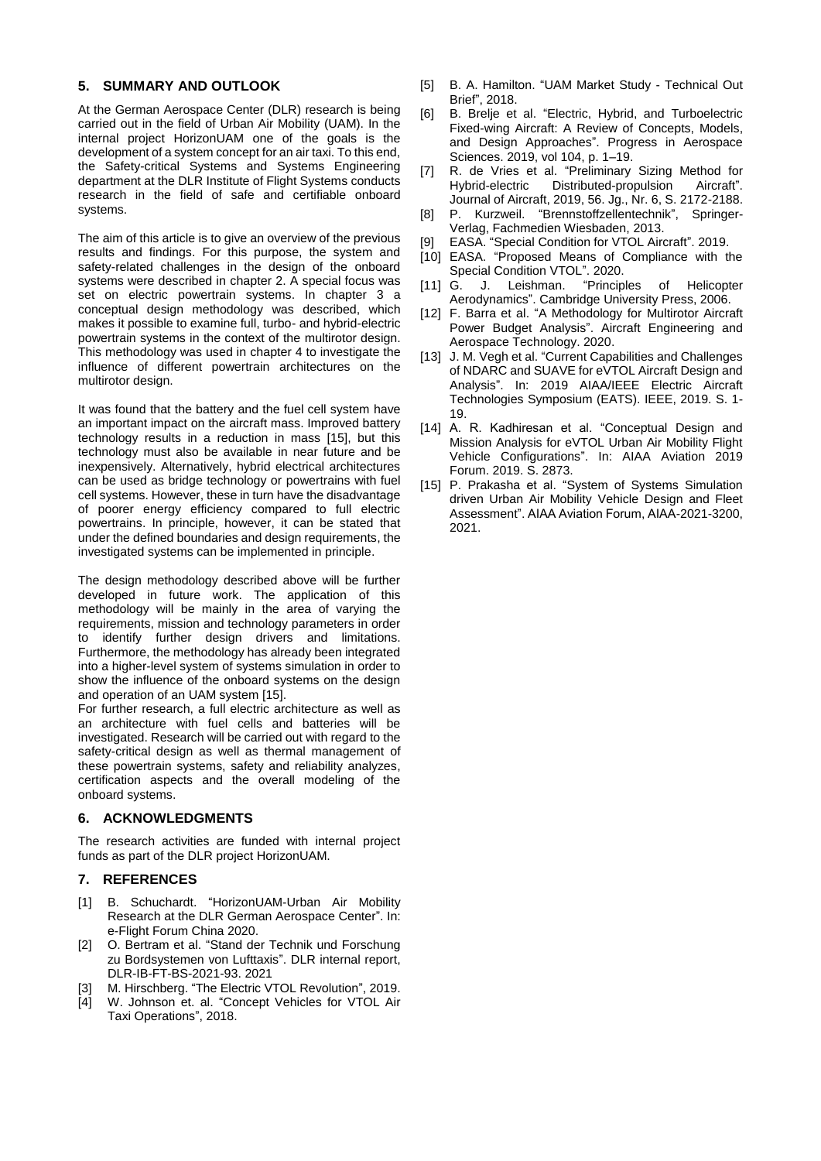## <span id="page-11-1"></span>**5. SUMMARY AND OUTLOOK**

At the German Aerospace Center (DLR) research is being carried out in the field of Urban Air Mobility (UAM). In the internal project HorizonUAM one of the goals is the development of a system concept for an air taxi. To this end, the Safety-critical Systems and Systems Engineering department at the DLR Institute of Flight Systems conducts research in the field of safe and certifiable onboard systems.

The aim of this article is to give an overview of the previous results and findings. For this purpose, the system and safety-related challenges in the design of the onboard systems were described in chapter [2.](#page-1-0) A special focus was set on electric powertrain systems. In chapter [3](#page-3-0) a conceptual design methodology was described, which makes it possible to examine full, turbo- and hybrid-electric powertrain systems in the context of the multirotor design. This methodology was used in chapter [4](#page-6-0) to investigate the influence of different powertrain architectures on the multirotor design.

It was found that the battery and the fuel cell system have an important impact on the aircraft mass. Improved battery technology results in a reduction in mass [\[15\],](#page-11-15) but this technology must also be available in near future and be inexpensively. Alternatively, hybrid electrical architectures can be used as bridge technology or powertrains with fuel cell systems. However, these in turn have the disadvantage of poorer energy efficiency compared to full electric powertrains. In principle, however, it can be stated that under the defined boundaries and design requirements, the investigated systems can be implemented in principle.

The design methodology described above will be further developed in future work. The application of this methodology will be mainly in the area of varying the requirements, mission and technology parameters in order to identify further design drivers and limitations. Furthermore, the methodology has already been integrated into a higher-level system of systems simulation in order to show the influence of the onboard systems on the design and operation of an UAM system [\[15\].](#page-11-15) 

For further research, a full electric architecture as well as an architecture with fuel cells and batteries will be investigated. Research will be carried out with regard to the safety-critical design as well as thermal management of these powertrain systems, safety and reliability analyzes, certification aspects and the overall modeling of the onboard systems.

## **6. ACKNOWLEDGMENTS**

The research activities are funded with internal project funds as part of the DLR project HorizonUAM.

## **7. REFERENCES**

- <span id="page-11-0"></span>[1] B. Schuchardt. "HorizonUAM-Urban Air Mobility Research at the DLR German Aerospace Center". In: e-Flight Forum China 2020.
- <span id="page-11-2"></span>[2] O. Bertram et al. "Stand der Technik und Forschung zu Bordsystemen von Lufttaxis". DLR internal report, DLR-IB-FT-BS-2021-93. 2021
- <span id="page-11-3"></span>[3] M. Hirschberg. "The Electric VTOL Revolution", 2019.
- <span id="page-11-4"></span>[4] W. Johnson et. al. "Concept Vehicles for VTOL Air Taxi Operations", 2018.
- <span id="page-11-5"></span>[5] B. A. Hamilton. "UAM Market Study - Technical Out Brief", 2018.
- <span id="page-11-6"></span>[6] B. Brelje et al. "Electric, Hybrid, and Turboelectric Fixed-wing Aircraft: A Review of Concepts, Models, and Design Approaches". Progress in Aerospace Sciences. 2019, vol 104, p. 1–19.
- <span id="page-11-7"></span>[7] R. de Vries et al. "Preliminary Sizing Method for Hybrid-electric Distributed-propulsion Aircraft". Journal of Aircraft, 2019, 56. Jg., Nr. 6, S. 2172-2188.
- <span id="page-11-8"></span>[8] P. Kurzweil. "Brennstoffzellentechnik", Springer-Verlag, Fachmedien Wiesbaden, 2013.
- <span id="page-11-9"></span>[9] EASA. "Special Condition for VTOL Aircraft". 2019.
- <span id="page-11-10"></span>[10] EASA. "Proposed Means of Compliance with the
- <span id="page-11-11"></span>Special Condition VTOL". 2020.<br>G. J. Leishman. "Principles [11] G. J. Leishman. "Principles of Helicopter Aerodynamics". Cambridge University Press, 2006.
- <span id="page-11-12"></span>[12] F. Barra et al. "A Methodology for Multirotor Aircraft Power Budget Analysis". Aircraft Engineering and Aerospace Technology. 2020.
- <span id="page-11-13"></span>[13] J. M. Vegh et al. "Current Capabilities and Challenges of NDARC and SUAVE for eVTOL Aircraft Design and Analysis". In: 2019 AIAA/IEEE Electric Aircraft Technologies Symposium (EATS). IEEE, 2019. S. 1- 19.
- <span id="page-11-14"></span>[14] A. R. Kadhiresan et al. "Conceptual Design and Mission Analysis for eVTOL Urban Air Mobility Flight Vehicle Configurations". In: AIAA Aviation 2019 Forum. 2019. S. 2873.
- <span id="page-11-15"></span>[15] P. Prakasha et al. "System of Systems Simulation driven Urban Air Mobility Vehicle Design and Fleet Assessment". AIAA Aviation Forum, AIAA-2021-3200, 2021.